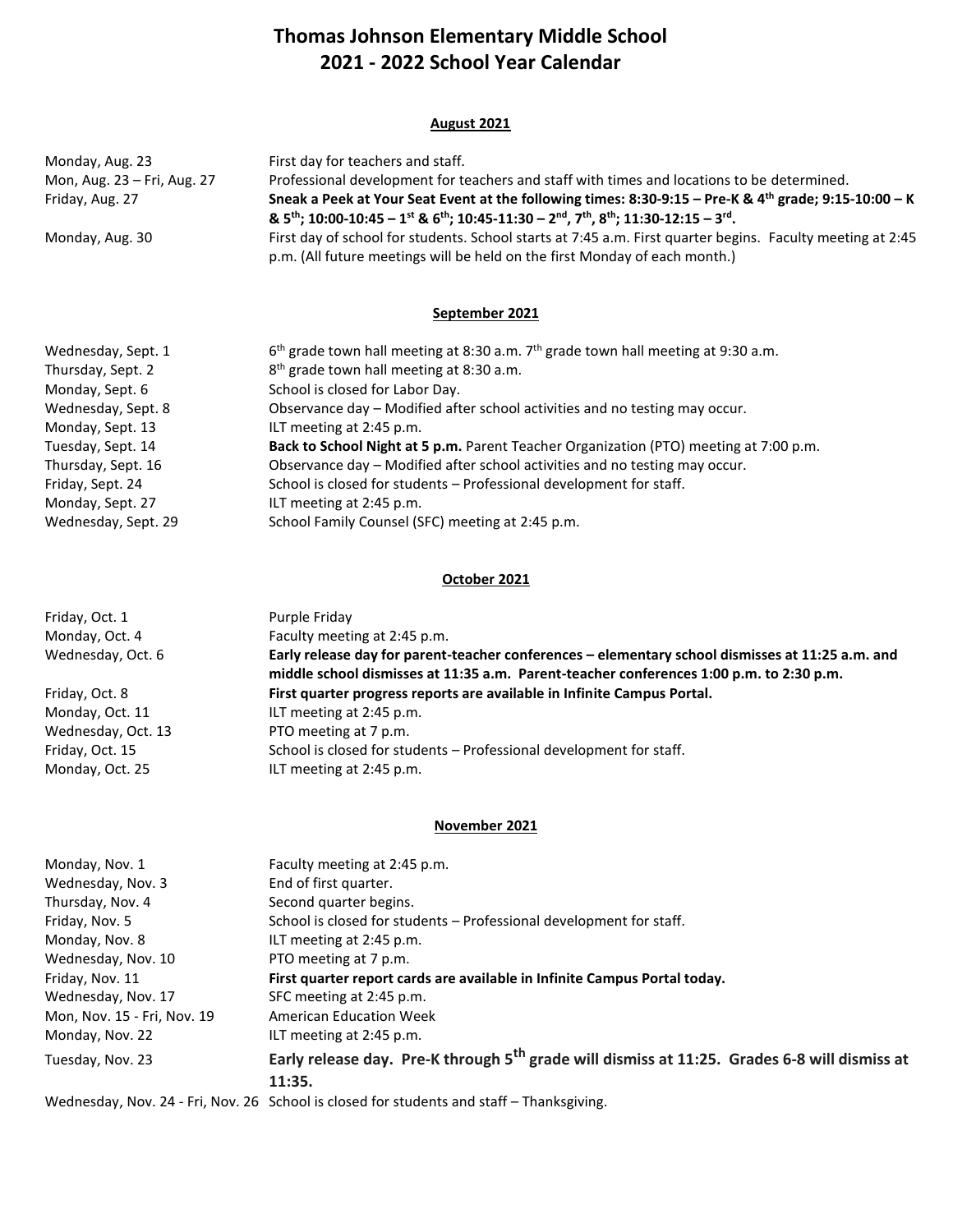# **Thomas Johnson Elementary Middle School 2021 - 2022 School Year Calendar**

#### **August 2021**

| Monday, Aug. 23             | First day for teachers and staff.                                                                                                                                                                                                                        |
|-----------------------------|----------------------------------------------------------------------------------------------------------------------------------------------------------------------------------------------------------------------------------------------------------|
| Mon, Aug. 23 – Fri, Aug. 27 | Professional development for teachers and staff with times and locations to be determined.                                                                                                                                                               |
| Friday, Aug. 27             | Sneak a Peek at Your Seat Event at the following times: 8:30-9:15 - Pre-K & 4th grade; 9:15-10:00 - K<br>& $5^{th}$ ; 10:00-10:45 - 1st & $6^{th}$ ; 10:45-11:30 - 2 <sup>nd</sup> , 7 <sup>th</sup> , 8 <sup>th</sup> ; 11:30-12:15 - 3 <sup>rd</sup> . |
| Monday, Aug. 30             | First day of school for students. School starts at 7:45 a.m. First quarter begins. Faculty meeting at 2:45<br>p.m. (All future meetings will be held on the first Monday of each month.)                                                                 |

#### **September 2021**

| Wednesday, Sept. 1  | $6th$ grade town hall meeting at 8:30 a.m. 7 <sup>th</sup> grade town hall meeting at 9:30 a.m. |
|---------------------|-------------------------------------------------------------------------------------------------|
| Thursday, Sept. 2   | 8 <sup>th</sup> grade town hall meeting at 8:30 a.m.                                            |
| Monday, Sept. 6     | School is closed for Labor Day.                                                                 |
| Wednesday, Sept. 8  | Observance day - Modified after school activities and no testing may occur.                     |
| Monday, Sept. 13    | ILT meeting at 2:45 p.m.                                                                        |
| Tuesday, Sept. 14   | Back to School Night at 5 p.m. Parent Teacher Organization (PTO) meeting at 7:00 p.m.           |
| Thursday, Sept. 16  | Observance day - Modified after school activities and no testing may occur.                     |
| Friday, Sept. 24    | School is closed for students - Professional development for staff.                             |
| Monday, Sept. 27    | ILT meeting at 2:45 p.m.                                                                        |
| Wednesday, Sept. 29 | School Family Counsel (SFC) meeting at 2:45 p.m.                                                |

#### **October 2021**

| Friday, Oct. 1     | Purple Friday                                                                                                                                                                               |
|--------------------|---------------------------------------------------------------------------------------------------------------------------------------------------------------------------------------------|
| Monday, Oct. 4     | Faculty meeting at 2:45 p.m.                                                                                                                                                                |
| Wednesday, Oct. 6  | Early release day for parent-teacher conferences – elementary school dismisses at 11:25 a.m. and<br>middle school dismisses at 11:35 a.m. Parent-teacher conferences 1:00 p.m. to 2:30 p.m. |
| Friday, Oct. 8     | First quarter progress reports are available in Infinite Campus Portal.                                                                                                                     |
| Monday, Oct. 11    | ILT meeting at 2:45 p.m.                                                                                                                                                                    |
| Wednesday, Oct. 13 | PTO meeting at 7 p.m.                                                                                                                                                                       |
| Friday, Oct. 15    | School is closed for students - Professional development for staff.                                                                                                                         |
| Monday, Oct. 25    | ILT meeting at 2:45 p.m.                                                                                                                                                                    |

## **November 2021**

| Monday, Nov. 1              | Faculty meeting at 2:45 p.m.                                                                                     |
|-----------------------------|------------------------------------------------------------------------------------------------------------------|
| Wednesday, Nov. 3           | End of first quarter.                                                                                            |
| Thursday, Nov. 4            | Second quarter begins.                                                                                           |
| Friday, Nov. 5              | School is closed for students – Professional development for staff.                                              |
| Monday, Nov. 8              | ILT meeting at 2:45 p.m.                                                                                         |
| Wednesday, Nov. 10          | PTO meeting at 7 p.m.                                                                                            |
| Friday, Nov. 11             | First quarter report cards are available in Infinite Campus Portal today.                                        |
| Wednesday, Nov. 17          | SFC meeting at 2:45 p.m.                                                                                         |
| Mon, Nov. 15 - Fri, Nov. 19 | <b>American Education Week</b>                                                                                   |
| Monday, Nov. 22             | ILT meeting at 2:45 p.m.                                                                                         |
| Tuesday, Nov. 23            | Early release day. Pre-K through 5 <sup>th</sup> grade will dismiss at 11:25. Grades 6-8 will dismiss at         |
|                             | 11:35.                                                                                                           |
|                             | $\mathcal{M}$ in the contract of $\mathcal{L}$ in the contract of $\mathcal{L}$ in the contract of $\mathcal{L}$ |

Wednesday, Nov. 24 - Fri, Nov. 26 School is closed for students and staff – Thanksgiving.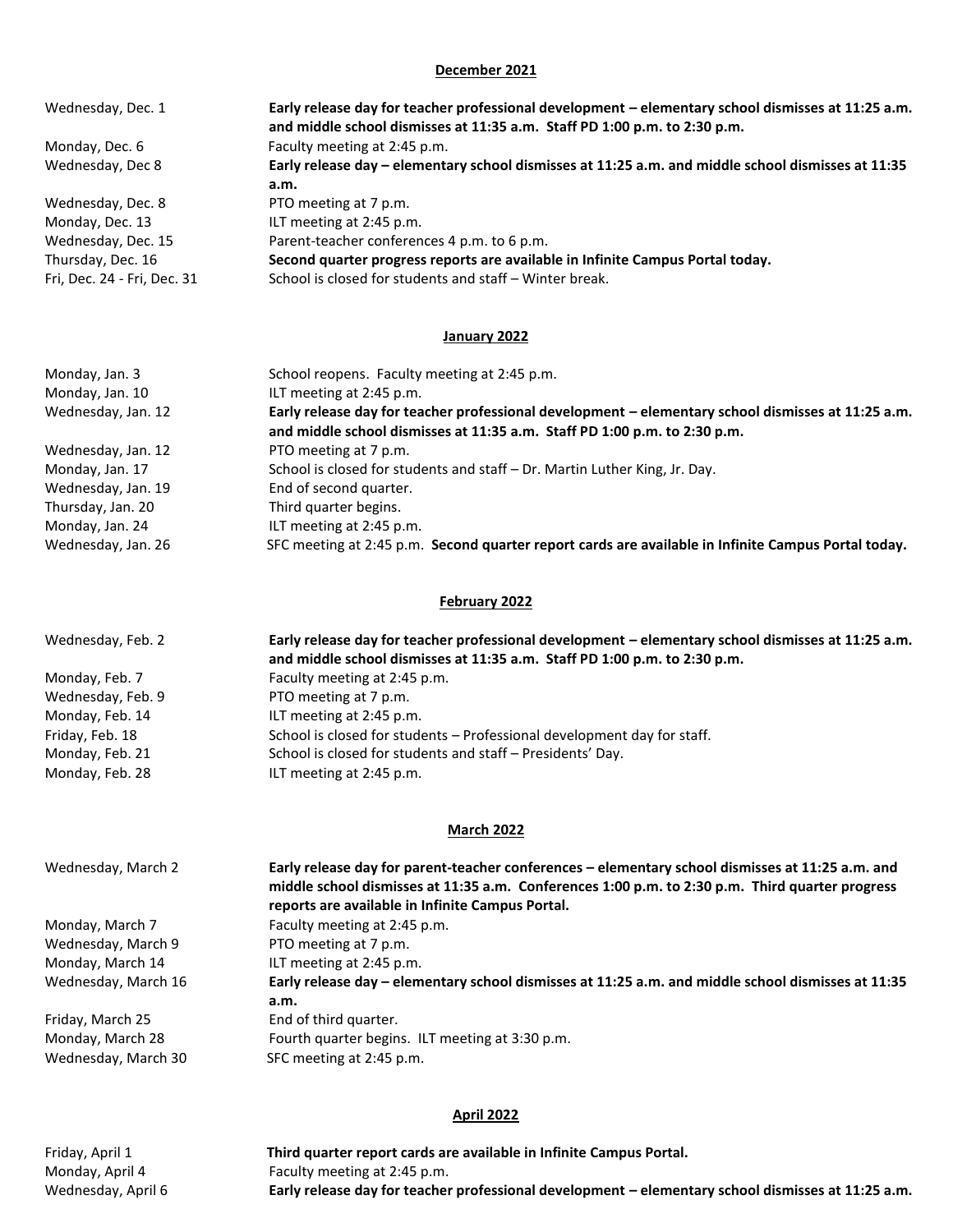#### **December 2021**

| Wednesday, Dec. 1           | Early release day for teacher professional development - elementary school dismisses at 11:25 a.m.<br>and middle school dismisses at 11:35 a.m. Staff PD 1:00 p.m. to 2:30 p.m. |
|-----------------------------|---------------------------------------------------------------------------------------------------------------------------------------------------------------------------------|
| Monday, Dec. 6              | Faculty meeting at 2:45 p.m.                                                                                                                                                    |
| Wednesday, Dec 8            | Early release day - elementary school dismisses at 11:25 a.m. and middle school dismisses at 11:35                                                                              |
|                             | a.m.                                                                                                                                                                            |
| Wednesday, Dec. 8           | PTO meeting at 7 p.m.                                                                                                                                                           |
| Monday, Dec. 13             | ILT meeting at 2:45 p.m.                                                                                                                                                        |
| Wednesday, Dec. 15          | Parent-teacher conferences 4 p.m. to 6 p.m.                                                                                                                                     |
| Thursday, Dec. 16           | Second quarter progress reports are available in Infinite Campus Portal today.                                                                                                  |
| Fri. Dec. 24 - Fri. Dec. 31 | School is closed for students and staff – Winter break.                                                                                                                         |

## **January 2022**

| Monday, Jan. 3     | School reopens. Faculty meeting at 2:45 p.m.                                                                                                                                    |
|--------------------|---------------------------------------------------------------------------------------------------------------------------------------------------------------------------------|
| Monday, Jan. 10    | ILT meeting at 2:45 p.m.                                                                                                                                                        |
| Wednesday, Jan. 12 | Early release day for teacher professional development - elementary school dismisses at 11:25 a.m.<br>and middle school dismisses at 11:35 a.m. Staff PD 1:00 p.m. to 2:30 p.m. |
| Wednesday, Jan. 12 | PTO meeting at 7 p.m.                                                                                                                                                           |
| Monday, Jan. 17    | School is closed for students and staff - Dr. Martin Luther King, Jr. Day.                                                                                                      |
| Wednesday, Jan. 19 | End of second quarter.                                                                                                                                                          |
| Thursday, Jan. 20  | Third quarter begins.                                                                                                                                                           |
| Monday, Jan. 24    | ILT meeting at 2:45 p.m.                                                                                                                                                        |
| Wednesday, Jan. 26 | SFC meeting at 2:45 p.m. Second quarter report cards are available in Infinite Campus Portal today.                                                                             |

## **February 2022**

| Wednesday, Feb. 2 | Early release day for teacher professional development – elementary school dismisses at 11:25 a.m.<br>and middle school dismisses at 11:35 a.m. Staff PD 1:00 p.m. to 2:30 p.m. |
|-------------------|---------------------------------------------------------------------------------------------------------------------------------------------------------------------------------|
| Monday, Feb. 7    | Faculty meeting at 2:45 p.m.                                                                                                                                                    |
| Wednesday, Feb. 9 | PTO meeting at 7 p.m.                                                                                                                                                           |
| Monday, Feb. 14   | ILT meeting at 2:45 p.m.                                                                                                                                                        |
| Friday, Feb. 18   | School is closed for students – Professional development day for staff.                                                                                                         |
| Monday, Feb. 21   | School is closed for students and staff - Presidents' Day.                                                                                                                      |
| Monday, Feb. 28   | ILT meeting at 2:45 p.m.                                                                                                                                                        |

## **March 2022**

| Wednesday, March 2  | Early release day for parent-teacher conferences - elementary school dismisses at 11:25 a.m. and<br>middle school dismisses at 11:35 a.m. Conferences 1:00 p.m. to 2:30 p.m. Third quarter progress<br>reports are available in Infinite Campus Portal. |
|---------------------|---------------------------------------------------------------------------------------------------------------------------------------------------------------------------------------------------------------------------------------------------------|
| Monday, March 7     | Faculty meeting at 2:45 p.m.                                                                                                                                                                                                                            |
| Wednesday, March 9  | PTO meeting at 7 p.m.                                                                                                                                                                                                                                   |
| Monday, March 14    | ILT meeting at 2:45 p.m.                                                                                                                                                                                                                                |
| Wednesday, March 16 | Early release day - elementary school dismisses at 11:25 a.m. and middle school dismisses at 11:35                                                                                                                                                      |
|                     | a.m.                                                                                                                                                                                                                                                    |
| Friday, March 25    | End of third quarter.                                                                                                                                                                                                                                   |
| Monday, March 28    | Fourth quarter begins. ILT meeting at 3:30 p.m.                                                                                                                                                                                                         |
| Wednesday, March 30 | SFC meeting at 2:45 p.m.                                                                                                                                                                                                                                |

### **April 2022**

Friday, April 1 **Third quarter report cards are available in Infinite Campus Portal.** Monday, April 4 Faculty meeting at 2:45 p.m. Wednesday, April 6 **Early release day for teacher professional development – elementary school dismisses at 11:25 a.m.**